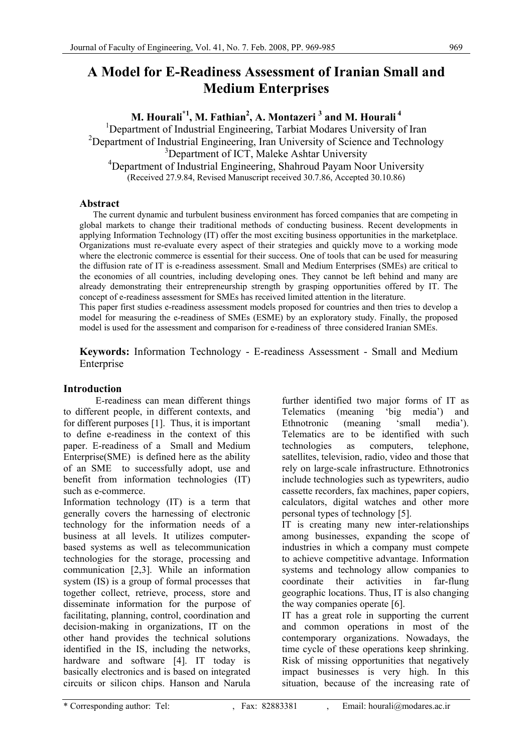# **A Model for E-Readiness Assessment of Iranian Small and Medium Enterprises**

 $\mathbf{M}.$  Hourali $^{\ast1}\!,$   $\mathbf{M}.$  Fathian $^2,$  A. Montazeri  $^3$  and  $\mathbf{M}.$  Hourali  $^4$ 

<sup>1</sup>Department of Industrial Engineering, Tarbiat Modares University of Iran <sup>2</sup>Department of Industrial Engineering, Iran University of Science and Technology <sup>3</sup>Department of ICT, Maleke Ashtar University <sup>4</sup>Department of Industrial Engineering, Shahroud Payam Noor University (Received 27.9.84, Revised Manuscript received 30.7.86, Accepted 30.10.86)

# **Abstract**

 The current dynamic and turbulent business environment has forced companies that are competing in global markets to change their traditional methods of conducting business. Recent developments in applying Information Technology (IT) offer the most exciting business opportunities in the marketplace. Organizations must re-evaluate every aspect of their strategies and quickly move to a working mode where the electronic commerce is essential for their success. One of tools that can be used for measuring the diffusion rate of IT is e-readiness assessment. Small and Medium Enterprises (SMEs) are critical to the economies of all countries, including developing ones. They cannot be left behind and many are already demonstrating their entrepreneurship strength by grasping opportunities offered by IT. The concept of e-readiness assessment for SMEs has received limited attention in the literature. This paper first studies e-readiness assessment models proposed for countries and then tries to develop a model for measuring the e-readiness of SMEs (ESME) by an exploratory study. Finally, the proposed model is used for the assessment and comparison for e-readiness of three considered Iranian SMEs.

**Keywords:** Information Technology - E-readiness Assessment - Small and Medium Enterprise

# **Introduction**

E-readiness can mean different things to different people, in different contexts, and for different purposes [1]. Thus, it is important to define e-readiness in the context of this paper. E-readiness of a Small and Medium Enterprise(SME) is defined here as the ability of an SME to successfully adopt, use and benefit from information technologies (IT) such as e-commerce.

Information technology (IT) is a term that generally covers the harnessing of electronic technology for the information needs of a business at all levels. It utilizes computerbased systems as well as telecommunication technologies for the storage, processing and communication [2,3]. While an information system (IS) is a group of formal processes that together collect, retrieve, process, store and disseminate information for the purpose of facilitating, planning, control, coordination and decision-making in organizations, IT on the other hand provides the technical solutions identified in the IS, including the networks, hardware and software [4]. IT today is basically electronics and is based on integrated circuits or silicon chips. Hanson and Narula

further identified two major forms of IT as Telematics (meaning 'big media') and Ethnotronic (meaning 'small media'). Telematics are to be identified with such technologies as computers, telephone, satellites, television, radio, video and those that rely on large-scale infrastructure. Ethnotronics include technologies such as typewriters, audio cassette recorders, fax machines, paper copiers, calculators, digital watches and other more personal types of technology [5].

IT is creating many new inter-relationships among businesses, expanding the scope of industries in which a company must compete to achieve competitive advantage. Information systems and technology allow companies to coordinate their activities in far-flung geographic locations. Thus, IT is also changing the way companies operate [6].

IT has a great role in supporting the current and common operations in most of the contemporary organizations. Nowadays, the time cycle of these operations keep shrinking. Risk of missing opportunities that negatively impact businesses is very high. In this situation, because of the increasing rate of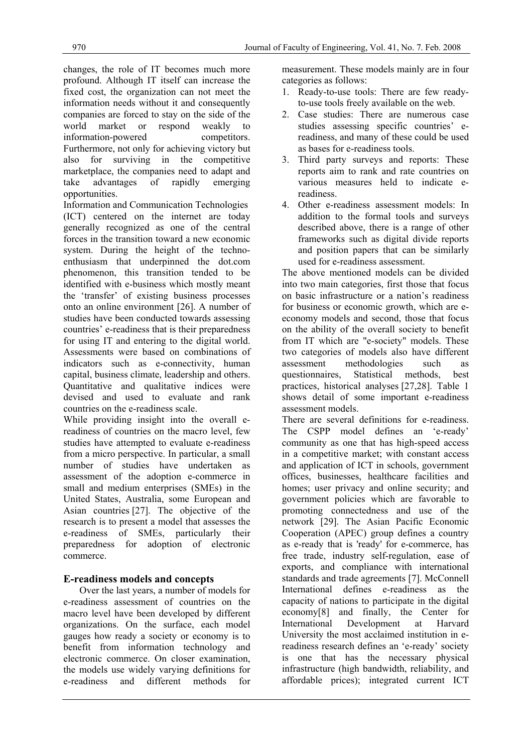changes, the role of IT becomes much more profound. Although IT itself can increase the fixed cost, the organization can not meet the information needs without it and consequently companies are forced to stay on the side of the world market or respond weakly to information-powered competitors. Furthermore, not only for achieving victory but also for surviving in the competitive marketplace, the companies need to adapt and take advantages of rapidly emerging opportunities.

Information and Communication Technologies (ICT) centered on the internet are today generally recognized as one of the central forces in the transition toward a new economic system. During the height of the technoenthusiasm that underpinned the dot.com phenomenon, this transition tended to be identified with e-business which mostly meant the 'transfer' of existing business processes onto an online environment [26]. A number of studies have been conducted towards assessing countries' e-readiness that is their preparedness for using IT and entering to the digital world. Assessments were based on combinations of indicators such as e-connectivity, human capital, business climate, leadership and others. Quantitative and qualitative indices were devised and used to evaluate and rank countries on the e-readiness scale.

While providing insight into the overall ereadiness of countries on the macro level, few studies have attempted to evaluate e-readiness from a micro perspective. In particular, a small number of studies have undertaken as assessment of the adoption e-commerce in small and medium enterprises (SMEs) in the United States, Australia, some European and Asian countries [27]. The objective of the research is to present a model that assesses the e-readiness of SMEs, particularly their preparedness for adoption of electronic commerce.

# **E-readiness models and concepts**

Over the last years, a number of models for e-readiness assessment of countries on the macro level have been developed by different organizations. On the surface, each model gauges how ready a society or economy is to benefit from information technology and electronic commerce. On closer examination, the models use widely varying definitions for e-readiness and different methods for

measurement. These models mainly are in four categories as follows:

- 1. Ready-to-use tools: There are few readyto-use tools freely available on the web.
- 2. Case studies: There are numerous case studies assessing specific countries' ereadiness, and many of these could be used as bases for e-readiness tools.
- 3. Third party surveys and reports: These reports aim to rank and rate countries on various measures held to indicate ereadiness.
- 4. Other e-readiness assessment models: In addition to the formal tools and surveys described above, there is a range of other frameworks such as digital divide reports and position papers that can be similarly used for e-readiness assessment.

The above mentioned models can be divided into two main categories, first those that focus on basic infrastructure or a nation's readiness for business or economic growth, which are eeconomy models and second, those that focus on the ability of the overall society to benefit from IT which are "e-society" models. These two categories of models also have different assessment methodologies such as questionnaires, Statistical methods, best practices, historical analyses [27,28]. Table 1 shows detail of some important e-readiness assessment models.

There are several definitions for e-readiness. The CSPP model defines an 'e-ready' community as one that has high-speed access in a competitive market; with constant access and application of ICT in schools, government offices, businesses, healthcare facilities and homes; user privacy and online security; and government policies which are favorable to promoting connectedness and use of the network [29]. The Asian Pacific Economic Cooperation (APEC) group defines a country as e-ready that is 'ready' for e-commerce, has free trade, industry self-regulation, ease of exports, and compliance with international standards and trade agreements [7]. McConnell International defines e-readiness as the capacity of nations to participate in the digital economy[8] and finally, the Center for International Development at Harvard University the most acclaimed institution in ereadiness research defines an 'e-ready' society is one that has the necessary physical infrastructure (high bandwidth, reliability, and affordable prices); integrated current ICT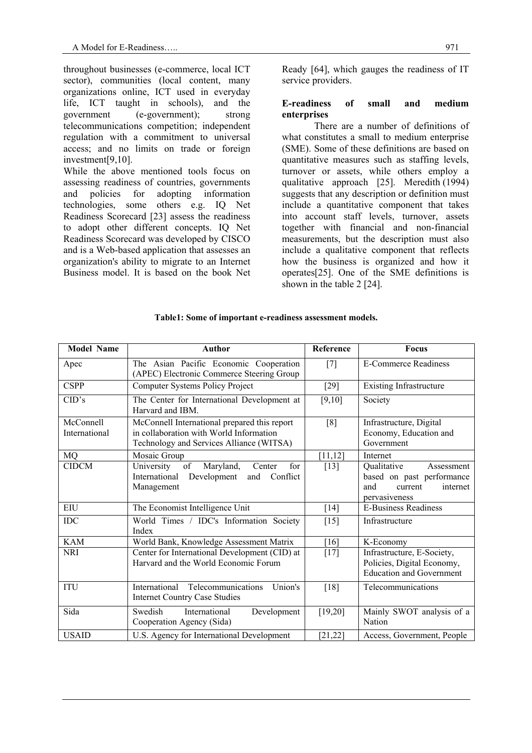throughout businesses (e-commerce, local ICT sector), communities (local content, many organizations online, ICT used in everyday life, ICT taught in schools), and the government (e-government); strong telecommunications competition; independent regulation with a commitment to universal access; and no limits on trade or foreign investment[9,10].

While the above mentioned tools focus on assessing readiness of countries, governments and policies for adopting information technologies, some others e.g. IQ Net Readiness Scorecard [23] assess the readiness to adopt other different concepts. IQ Net Readiness Scorecard was developed by CISCO and is a Web-based application that assesses an organization's ability to migrate to an Internet Business model. It is based on the book Net

Ready [64], which gauges the readiness of IT service providers.

## **E-readiness of small and medium enterprises**

There are a number of definitions of what constitutes a small to medium enterprise (SME). Some of these definitions are based on quantitative measures such as staffing levels, turnover or assets, while others employ a qualitative approach [25]. Meredith (1994) suggests that any description or definition must include a quantitative component that takes into account staff levels, turnover, assets together with financial and non-financial measurements, but the description must also include a qualitative component that reflects how the business is organized and how it operates[25]. One of the SME definitions is shown in the table 2 [24].

| <b>Model Name</b>          | <b>Author</b>                                                                                                                       | Reference | <b>Focus</b>                                                                                          |
|----------------------------|-------------------------------------------------------------------------------------------------------------------------------------|-----------|-------------------------------------------------------------------------------------------------------|
| Apec                       | The Asian Pacific Economic Cooperation<br>(APEC) Electronic Commerce Steering Group                                                 | $[7]$     | <b>E-Commerce Readiness</b>                                                                           |
| <b>CSPP</b>                | Computer Systems Policy Project                                                                                                     | $[29]$    | <b>Existing Infrastructure</b>                                                                        |
| CID's                      | The Center for International Development at<br>Harvard and IBM.                                                                     | [9,10]    | Society                                                                                               |
| McConnell<br>International | McConnell International prepared this report<br>in collaboration with World Information<br>Technology and Services Alliance (WITSA) | [8]       | Infrastructure, Digital<br>Economy, Education and<br>Government                                       |
| MQ                         | Mosaic Group                                                                                                                        | [11, 12]  | Internet                                                                                              |
| <b>CIDCM</b>               | for<br>of<br>Maryland,<br>University<br>Center<br>Development<br>Conflict<br>International<br>and<br>Management                     | $[13]$    | Qualitative<br>Assessment<br>based on past performance<br>and<br>current<br>internet<br>pervasiveness |
| EIU                        | The Economist Intelligence Unit                                                                                                     | [14]      | <b>E-Business Readiness</b>                                                                           |
| <b>IDC</b>                 | World Times / IDC's Information Society<br>Index                                                                                    | $[15]$    | Infrastructure                                                                                        |
| <b>KAM</b>                 | World Bank, Knowledge Assessment Matrix                                                                                             | [16]      | K-Economy                                                                                             |
| <b>NRI</b>                 | Center for International Development (CID) at<br>Harvard and the World Economic Forum                                               | $[17]$    | Infrastructure, E-Society,<br>Policies, Digital Economy,<br><b>Education and Government</b>           |
| <b>ITU</b>                 | Telecommunications<br>International<br>Union's<br><b>Internet Country Case Studies</b>                                              | $[18]$    | Telecommunications                                                                                    |
| Sida                       | Swedish<br>International<br>Development<br>Cooperation Agency (Sida)                                                                | [19,20]   | Mainly SWOT analysis of a<br>Nation                                                                   |
| <b>USAID</b>               | U.S. Agency for International Development                                                                                           | [21, 22]  | Access, Government, People                                                                            |

#### **Table1: Some of important e-readiness assessment models.**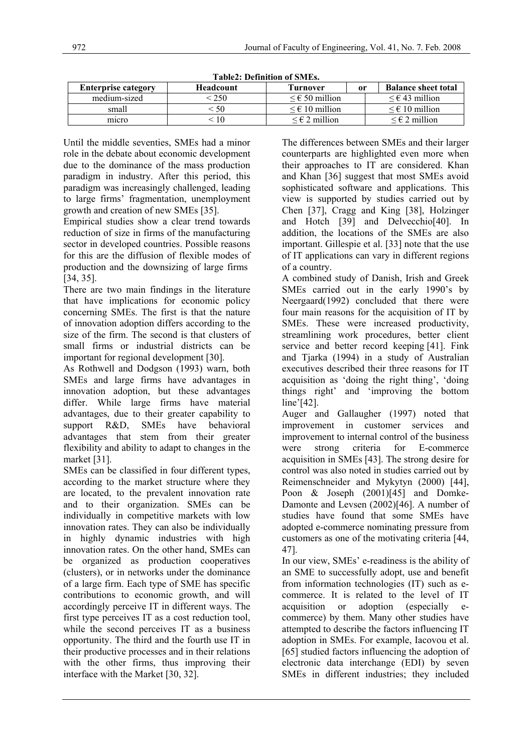| Tabicz, Denhitton of Siviles. |                  |                            |    |                            |  |  |
|-------------------------------|------------------|----------------------------|----|----------------------------|--|--|
| <b>Enterprise category</b>    | <b>Headcount</b> | Turnover                   | or | <b>Balance sheet total</b> |  |  |
| medium-sized                  | :250             | $\leq \epsilon$ 50 million |    | $\leq \epsilon$ 43 million |  |  |
| small                         | 550              | $\leq \epsilon$ 10 million |    | $\leq \epsilon$ 10 million |  |  |
| micro                         | - 10             | $\leq \epsilon$ 2 million  |    | $\leq \epsilon$ 2 million  |  |  |

**Table2: Definition of SMEs.** 

Until the middle seventies, SMEs had a minor role in the debate about economic development due to the dominance of the mass production paradigm in industry. After this period, this paradigm was increasingly challenged, leading to large firms' fragmentation, unemployment growth and creation of new SMEs [35].

Empirical studies show a clear trend towards reduction of size in firms of the manufacturing sector in developed countries. Possible reasons for this are the diffusion of flexible modes of production and the downsizing of large firms [34, 35].

There are two main findings in the literature that have implications for economic policy concerning SMEs. The first is that the nature of innovation adoption differs according to the size of the firm. The second is that clusters of small firms or industrial districts can be important for regional development [30].

As Rothwell and Dodgson (1993) warn, both SMEs and large firms have advantages in innovation adoption, but these advantages differ. While large firms have material advantages, due to their greater capability to support R&D, SMEs have behavioral advantages that stem from their greater flexibility and ability to adapt to changes in the market [31].

SMEs can be classified in four different types, according to the market structure where they are located, to the prevalent innovation rate and to their organization. SMEs can be individually in competitive markets with low innovation rates. They can also be individually in highly dynamic industries with high innovation rates. On the other hand, SMEs can be organized as production cooperatives (clusters), or in networks under the dominance of a large firm. Each type of SME has specific contributions to economic growth, and will accordingly perceive IT in different ways. The first type perceives IT as a cost reduction tool, while the second perceives IT as a business opportunity. The third and the fourth use IT in their productive processes and in their relations with the other firms, thus improving their interface with the Market [30, 32].

The differences between SMEs and their larger counterparts are highlighted even more when their approaches to IT are considered. Khan and Khan [36] suggest that most SMEs avoid sophisticated software and applications. This view is supported by studies carried out by Chen [37], Cragg and King [38], Holzinger and Hotch [39] and Delvecchio[40]. In addition, the locations of the SMEs are also important. Gillespie et al. [33] note that the use of IT applications can vary in different regions of a country.

A combined study of Danish, Irish and Greek SMEs carried out in the early 1990's by Neergaard(1992) concluded that there were four main reasons for the acquisition of IT by SMEs. These were increased productivity, streamlining work procedures, better client service and better record keeping [41]. Fink and Tjarka (1994) in a study of Australian executives described their three reasons for IT acquisition as 'doing the right thing', 'doing things right' and 'improving the bottom line'[42].

Auger and Gallaugher (1997) noted that improvement in customer services and improvement to internal control of the business were strong criteria for E-commerce acquisition in SMEs [43]. The strong desire for control was also noted in studies carried out by Reimenschneider and Mykytyn (2000) [44], Poon & Joseph (2001)[45] and Domke-Damonte and Levsen (2002)[46]. A number of studies have found that some SMEs have adopted e-commerce nominating pressure from customers as one of the motivating criteria [44, 47].

In our view, SMEs' e-readiness is the ability of an SME to successfully adopt, use and benefit from information technologies (IT) such as ecommerce. It is related to the level of IT acquisition or adoption (especially ecommerce) by them. Many other studies have attempted to describe the factors influencing IT adoption in SMEs. For example, Iacovou et al. [65] studied factors influencing the adoption of electronic data interchange (EDI) by seven SMEs in different industries; they included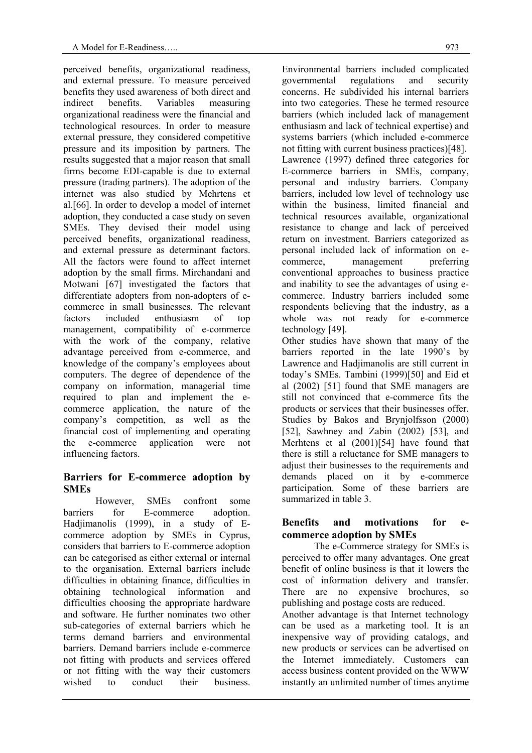perceived benefits, organizational readiness, and external pressure. To measure perceived benefits they used awareness of both direct and indirect benefits. Variables measuring organizational readiness were the financial and technological resources. In order to measure external pressure, they considered competitive pressure and its imposition by partners. The results suggested that a major reason that small firms become EDI-capable is due to external pressure (trading partners). The adoption of the internet was also studied by Mehrtens et al.[66]. In order to develop a model of internet adoption, they conducted a case study on seven SMEs. They devised their model using perceived benefits, organizational readiness, and external pressure as determinant factors. All the factors were found to affect internet adoption by the small firms. Mirchandani and Motwani [67] investigated the factors that differentiate adopters from non-adopters of ecommerce in small businesses. The relevant factors included enthusiasm of top management, compatibility of e-commerce with the work of the company, relative advantage perceived from e-commerce, and knowledge of the company's employees about computers. The degree of dependence of the company on information, managerial time required to plan and implement the ecommerce application, the nature of the company's competition, as well as the financial cost of implementing and operating the e-commerce application were not influencing factors.

# **Barriers for E-commerce adoption by SMEs**

However, SMEs confront some barriers for E-commerce adoption. Hadjimanolis (1999), in a study of Ecommerce adoption by SMEs in Cyprus, considers that barriers to E-commerce adoption can be categorised as either external or internal to the organisation. External barriers include difficulties in obtaining finance, difficulties in obtaining technological information and difficulties choosing the appropriate hardware and software. He further nominates two other sub-categories of external barriers which he terms demand barriers and environmental barriers. Demand barriers include e-commerce not fitting with products and services offered or not fitting with the way their customers wished to conduct their business.

Environmental barriers included complicated governmental regulations and security concerns. He subdivided his internal barriers into two categories. These he termed resource barriers (which included lack of management enthusiasm and lack of technical expertise) and systems barriers (which included e-commerce not fitting with current business practices)[48]. Lawrence (1997) defined three categories for E-commerce barriers in SMEs, company, personal and industry barriers. Company barriers, included low level of technology use within the business, limited financial and technical resources available, organizational resistance to change and lack of perceived return on investment. Barriers categorized as personal included lack of information on ecommerce. management preferring conventional approaches to business practice and inability to see the advantages of using ecommerce. Industry barriers included some respondents believing that the industry, as a whole was not ready for e-commerce technology [49].

Other studies have shown that many of the barriers reported in the late 1990's by Lawrence and Hadjimanolis are still current in today's SMEs. Tambini (1999)[50] and Eid et al (2002) [51] found that SME managers are still not convinced that e-commerce fits the products or services that their businesses offer. Studies by Bakos and Brynjolfsson (2000) [52], Sawhney and Zabin (2002) [53], and Merhtens et al (2001)[54] have found that there is still a reluctance for SME managers to adjust their businesses to the requirements and demands placed on it by e-commerce participation. Some of these barriers are summarized in table 3.

# **Benefits and motivations for ecommerce adoption by SMEs**

The e-Commerce strategy for SMEs is perceived to offer many advantages. One great benefit of online business is that it lowers the cost of information delivery and transfer. There are no expensive brochures, publishing and postage costs are reduced.

Another advantage is that Internet technology can be used as a marketing tool. It is an inexpensive way of providing catalogs, and new products or services can be advertised on the Internet immediately. Customers can access business content provided on the WWW instantly an unlimited number of times anytime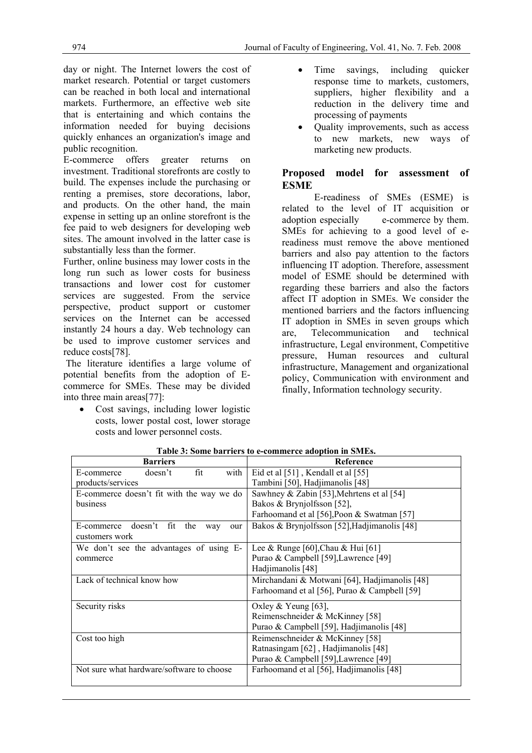day or night. The Internet lowers the cost of market research. Potential or target customers can be reached in both local and international markets. Furthermore, an effective web site that is entertaining and which contains the information needed for buying decisions quickly enhances an organization's image and public recognition.

E-commerce offers greater returns on investment. Traditional storefronts are costly to build. The expenses include the purchasing or renting a premises, store decorations, labor, and products. On the other hand, the main expense in setting up an online storefront is the fee paid to web designers for developing web sites. The amount involved in the latter case is substantially less than the former.

Further, online business may lower costs in the long run such as lower costs for business transactions and lower cost for customer services are suggested. From the service perspective, product support or customer services on the Internet can be accessed instantly 24 hours a day. Web technology can be used to improve customer services and reduce costs[78].

 The literature identifies a large volume of potential benefits from the adoption of Ecommerce for SMEs. These may be divided into three main areas[77]:

• Cost savings, including lower logistic costs, lower postal cost, lower storage costs and lower personnel costs.

- Time savings, including quicker response time to markets, customers, suppliers, higher flexibility and a reduction in the delivery time and processing of payments
- Quality improvements, such as access to new markets, new ways of marketing new products.

# **Proposed model for assessment of ESME**

E-readiness of SMEs (ESME) is related to the level of IT acquisition or adoption especially e-commerce by them. SMEs for achieving to a good level of ereadiness must remove the above mentioned barriers and also pay attention to the factors influencing IT adoption. Therefore, assessment model of ESME should be determined with regarding these barriers and also the factors affect IT adoption in SMEs. We consider the mentioned barriers and the factors influencing IT adoption in SMEs in seven groups which are, Telecommunication and technical infrastructure, Legal environment, Competitive pressure, Human resources and cultural infrastructure, Management and organizational policy, Communication with environment and finally, Information technology security.

| <b>Barriers</b>                           | <b>Reference</b>                              |
|-------------------------------------------|-----------------------------------------------|
| doesn't<br>fit<br>with<br>E-commerce      | Eid et al [51], Kendall et al [55]            |
| products/services                         | Tambini [50], Hadjimanolis [48]               |
| E-commerce doesn't fit with the way we do | Sawhney & Zabin [53], Mehrtens et al [54]     |
| business                                  | Bakos & Brynjolfsson [52],                    |
|                                           | Farhoomand et al [56], Poon & Swatman [57]    |
| E-commerce doesn't fit the<br>way<br>our  | Bakos & Brynjolfsson [52], Hadjimanolis [48]  |
| customers work                            |                                               |
| We don't see the advantages of using E-   | Lee & Runge [60], Chau & Hui [61]             |
| commerce                                  | Purao & Campbell [59], Lawrence [49]          |
|                                           | Hadjimanolis [48]                             |
| Lack of technical know how                | Mirchandani & Motwani [64], Hadjimanolis [48] |
|                                           | Farhoomand et al [56], Purao & Campbell [59]  |
| Security risks                            | Oxley & Yeung [63],                           |
|                                           | Reimenschneider & McKinney [58]               |
|                                           | Purao & Campbell [59], Hadjimanolis [48]      |
| Cost too high                             | Reimenschneider & McKinney [58]               |
|                                           | Ratnasingam [62], Hadjimanolis [48]           |
|                                           | Purao & Campbell [59], Lawrence [49]          |
| Not sure what hardware/software to choose | Farhoomand et al [56], Hadjimanolis [48]      |
|                                           |                                               |

**Table 3: Some barriers to e-commerce adoption in SMEs.**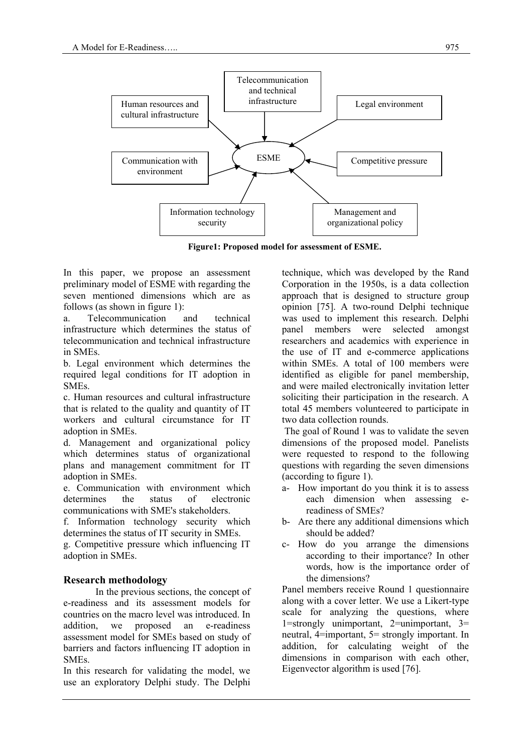

**Figure1: Proposed model for assessment of ESME.** 

In this paper, we propose an assessment preliminary model of ESME with regarding the seven mentioned dimensions which are as follows (as shown in figure 1):

a. Telecommunication and technical infrastructure which determines the status of telecommunication and technical infrastructure in SMEs.

b. Legal environment which determines the required legal conditions for IT adoption in SMEs.

c. Human resources and cultural infrastructure that is related to the quality and quantity of IT workers and cultural circumstance for IT adoption in SMEs.

d. Management and organizational policy which determines status of organizational plans and management commitment for IT adoption in SMEs.

e. Communication with environment which determines the status of electronic communications with SME's stakeholders.

f. Information technology security which determines the status of IT security in SMEs.

g. Competitive pressure which influencing IT adoption in SMEs.

# **Research methodology**

In the previous sections, the concept of e-readiness and its assessment models for countries on the macro level was introduced. In addition, we proposed an e-readiness assessment model for SMEs based on study of barriers and factors influencing IT adoption in SMEs.

In this research for validating the model, we use an exploratory Delphi study. The Delphi technique, which was developed by the Rand Corporation in the 1950s, is a data collection approach that is designed to structure group opinion [75]. A two-round Delphi technique was used to implement this research. Delphi panel members were selected amongst researchers and academics with experience in the use of IT and e-commerce applications within SMEs. A total of 100 members were identified as eligible for panel membership, and were mailed electronically invitation letter soliciting their participation in the research. A total 45 members volunteered to participate in two data collection rounds.

 The goal of Round 1 was to validate the seven dimensions of the proposed model. Panelists were requested to respond to the following questions with regarding the seven dimensions (according to figure 1).

- a- How important do you think it is to assess each dimension when assessing ereadiness of SMEs?
- b- Are there any additional dimensions which should be added?
- c- How do you arrange the dimensions according to their importance? In other words, how is the importance order of the dimensions?

Panel members receive Round 1 questionnaire along with a cover letter. We use a Likert-type scale for analyzing the questions, where 1=strongly unimportant, 2=unimportant, 3= neutral, 4=important, 5= strongly important. In addition, for calculating weight of the dimensions in comparison with each other, Eigenvector algorithm is used [76].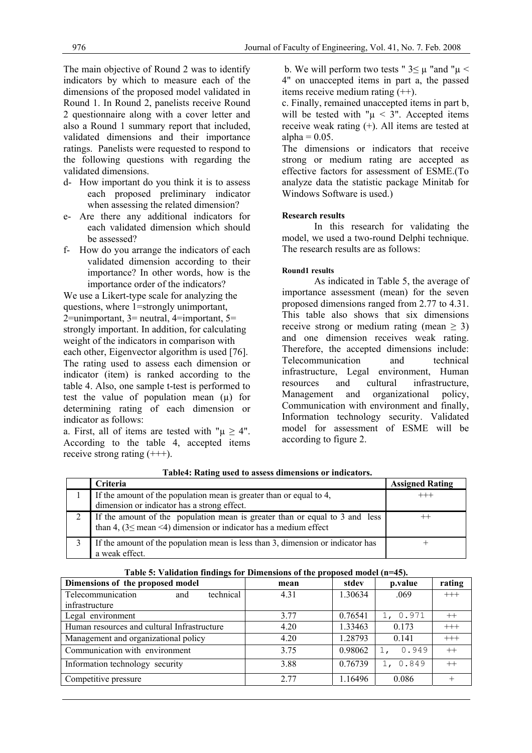The main objective of Round 2 was to identify indicators by which to measure each of the dimensions of the proposed model validated in Round 1. In Round 2, panelists receive Round 2 questionnaire along with a cover letter and also a Round 1 summary report that included, validated dimensions and their importance ratings. Panelists were requested to respond to the following questions with regarding the validated dimensions.

- d- How important do you think it is to assess each proposed preliminary indicator when assessing the related dimension?
- e- Are there any additional indicators for each validated dimension which should be assessed?
- f- How do you arrange the indicators of each validated dimension according to their importance? In other words, how is the importance order of the indicators?

We use a Likert-type scale for analyzing the questions, where 1=strongly unimportant,  $2$ =unimportant,  $3$ = neutral,  $4$ =important,  $5$ = strongly important. In addition, for calculating weight of the indicators in comparison with each other, Eigenvector algorithm is used [76]. The rating used to assess each dimension or indicator (item) is ranked according to the table 4. Also, one sample t-test is performed to test the value of population mean  $(\mu)$  for determining rating of each dimension or indicator as follows:

a. First, all of items are tested with " $\mu \geq 4$ ". According to the table 4, accepted items receive strong rating (+++).

b. We will perform two tests "  $3 \leq \mu$  "and " $\mu$  < 4" on unaccepted items in part a, the passed items receive medium rating (++).

c. Finally, remained unaccepted items in part b, will be tested with " $\mu$  < 3". Accepted items receive weak rating (+). All items are tested at alpha  $= 0.05$ .

The dimensions or indicators that receive strong or medium rating are accepted as effective factors for assessment of ESME.(To analyze data the statistic package Minitab for Windows Software is used.)

#### **Research results**

In this research for validating the model, we used a two-round Delphi technique. The research results are as follows:

#### **Round1 results**

As indicated in Table 5, the average of importance assessment (mean) for the seven proposed dimensions ranged from 2.77 to 4.31. This table also shows that six dimensions receive strong or medium rating (mean  $\geq$  3) and one dimension receives weak rating. Therefore, the accepted dimensions include: Telecommunication and technical infrastructure, Legal environment, Human resources and cultural infrastructure, Management and organizational policy, Communication with environment and finally, Information technology security. Validated model for assessment of ESME will be according to figure 2.

| <b>Criteria</b>                                                                                                                                      | <b>Assigned Rating</b> |
|------------------------------------------------------------------------------------------------------------------------------------------------------|------------------------|
| If the amount of the population mean is greater than or equal to 4,<br>dimension or indicator has a strong effect.                                   | $^{+++}$               |
| If the amount of the population mean is greater than or equal to 3 and less<br>than 4, $(3 \leq$ mean <4) dimension or indicator has a medium effect |                        |
| If the amount of the population mean is less than 3, dimension or indicator has<br>a weak effect.                                                    |                        |

 **Table4: Rating used to assess dimensions or indicators.** 

|--|

| Dimensions of the proposed model            | mean | stdev   | p.value     | rating  |
|---------------------------------------------|------|---------|-------------|---------|
| Telecommunication<br>technical<br>and       | 4.31 | 1.30634 | .069        | $+++$   |
| infrastructure                              |      |         |             |         |
| Legal environment                           | 3 77 | 0.76541 | 1, 0.971    | $^{++}$ |
| Human resources and cultural Infrastructure | 4.20 | 1.33463 | 0.173       | $+++$   |
| Management and organizational policy        | 4.20 | 1.28793 | 0.141       | $+++$   |
| Communication with environment              | 3.75 | 0.98062 | 0.949       | $^{++}$ |
| Information technology security             | 3.88 | 0.76739 | 0.849<br>1. | $^{++}$ |
| Competitive pressure                        | 2.77 | 1.16496 | 0.086       |         |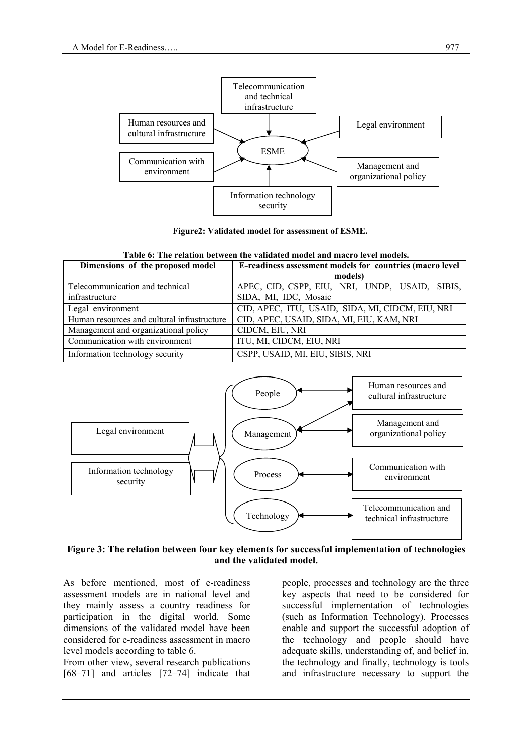

**Figure2: Validated model for assessment of ESME.** 

| Dimensions of the proposed model            | E-readiness assessment models for countries (macro level |  |  |  |
|---------------------------------------------|----------------------------------------------------------|--|--|--|
|                                             | models)                                                  |  |  |  |
| Telecommunication and technical             | APEC, CID, CSPP, EIU, NRI, UNDP, USAID, SIBIS,           |  |  |  |
| infrastructure                              | SIDA, MI, IDC, Mosaic                                    |  |  |  |
| Legal environment                           | CID, APEC, ITU, USAID, SIDA, MI, CIDCM, EIU, NRI         |  |  |  |
| Human resources and cultural infrastructure | CID, APEC, USAID, SIDA, MI, EIU, KAM, NRI                |  |  |  |
| Management and organizational policy        | CIDCM, EIU, NRI                                          |  |  |  |
| Communication with environment              | ITU, MI, CIDCM, EIU, NRI                                 |  |  |  |
| Information technology security             | CSPP, USAID, MI, EIU, SIBIS, NRI                         |  |  |  |

**Table 6: The relation between the validated model and macro level models.**



## **Figure 3: The relation between four key elements for successful implementation of technologies and the validated model.**

As before mentioned, most of e-readiness assessment models are in national level and they mainly assess a country readiness for participation in the digital world. Some dimensions of the validated model have been considered for e-readiness assessment in macro level models according to table 6.

From other view, several research publications [68–71] and articles [72–74] indicate that people, processes and technology are the three key aspects that need to be considered for successful implementation of technologies (such as Information Technology). Processes enable and support the successful adoption of the technology and people should have adequate skills, understanding of, and belief in, the technology and finally, technology is tools and infrastructure necessary to support the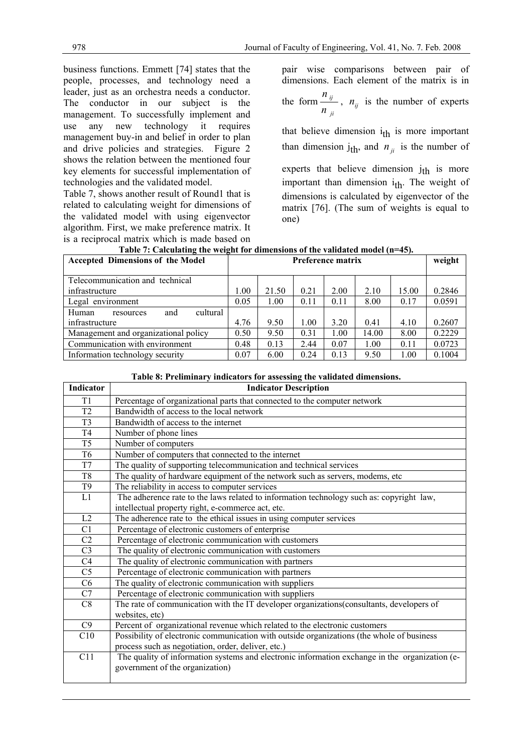business functions. Emmett [74] states that the people, processes, and technology need a leader, just as an orchestra needs a conductor. The conductor in our subject is the management. To successfully implement and use any new technology it requires management buy-in and belief in order to plan and drive policies and strategies. Figure 2 shows the relation between the mentioned four key elements for successful implementation of technologies and the validated model.

Table 7, shows another result of Round1 that is related to calculating weight for dimensions of the validated model with using eigenvector algorithm. First, we make preference matrix. It is a reciprocal matrix which is made based on pair wise comparisons between pair of dimensions. Each element of the matrix is in the form *ji ij*  $\frac{n_{ij}}{n_{ji}}$ ,  $n_{ij}$  is the number of experts

that believe dimension  $i_{th}$  is more important than dimension  $j_{th}$ , and  $n_{ji}$  is the number of experts that believe dimension  $j_{th}$  is more important than dimension  $i_{th}$ . The weight of dimensions is calculated by eigenvector of the matrix [76]. (The sum of weights is equal to one)

| <b>Accepted Dimensions of the Model</b> |      |       |      | Preference matrix |       |       | weight |
|-----------------------------------------|------|-------|------|-------------------|-------|-------|--------|
| Telecommunication and technical         |      |       |      |                   |       |       |        |
| infrastructure                          | 1.00 | 21.50 | 0.21 | 2.00              | 2.10  | 15.00 | 0.2846 |
| Legal environment                       |      | 1.00  | 0.11 | 0.11              | 8.00  | 0.17  | 0.0591 |
| cultural<br>and<br>Human<br>resources   |      |       |      |                   |       |       |        |
| infrastructure                          |      | 9.50  | 1.00 | 3.20              | 0.41  | 4.10  | 0.2607 |
| Management and organizational policy    |      | 9.50  | 0.31 | 1.00              | 14.00 | 8.00  | 0.2229 |
| Communication with environment          |      | 0.13  | 2.44 | 0.07              | 1.00  | 0.11  | 0.0723 |
| Information technology security         |      | 6.00  | 0.24 | 0.13              | 9.50  | 1.00  | 0.1004 |

#### **Table 7: Calculating the weight for dimensions of the validated model (n=45).**

## **Table 8: Preliminary indicators for assessing the validated dimensions.**

| Indicator      | <b>Indicator Description</b>                                                                                                      |
|----------------|-----------------------------------------------------------------------------------------------------------------------------------|
| T1             | Percentage of organizational parts that connected to the computer network                                                         |
| T <sub>2</sub> | Bandwidth of access to the local network                                                                                          |
| T <sub>3</sub> | Bandwidth of access to the internet                                                                                               |
| T <sub>4</sub> | Number of phone lines                                                                                                             |
| T <sub>5</sub> | Number of computers                                                                                                               |
| T <sub>6</sub> | Number of computers that connected to the internet                                                                                |
| T7             | The quality of supporting telecommunication and technical services                                                                |
| T8             | The quality of hardware equipment of the network such as servers, modems, etc                                                     |
| T <sub>9</sub> | The reliability in access to computer services                                                                                    |
| L1             | The adherence rate to the laws related to information technology such as: copyright law,                                          |
|                | intellectual property right, e-commerce act, etc.                                                                                 |
| L2             | The adherence rate to the ethical issues in using computer services                                                               |
| C <sub>1</sub> | Percentage of electronic customers of enterprise                                                                                  |
| C <sub>2</sub> | Percentage of electronic communication with customers                                                                             |
| C <sub>3</sub> | The quality of electronic communication with customers                                                                            |
| C <sub>4</sub> | The quality of electronic communication with partners                                                                             |
| C <sub>5</sub> | Percentage of electronic communication with partners                                                                              |
| C <sub>6</sub> | The quality of electronic communication with suppliers                                                                            |
| C7             | Percentage of electronic communication with suppliers                                                                             |
| C8             | The rate of communication with the IT developer organizations (consultants, developers of                                         |
|                | websites, etc)                                                                                                                    |
| C9             | Percent of organizational revenue which related to the electronic customers                                                       |
| C10            | Possibility of electronic communication with outside organizations (the whole of business                                         |
|                | process such as negotiation, order, deliver, etc.)                                                                                |
| C11            | The quality of information systems and electronic information exchange in the organization (e-<br>government of the organization) |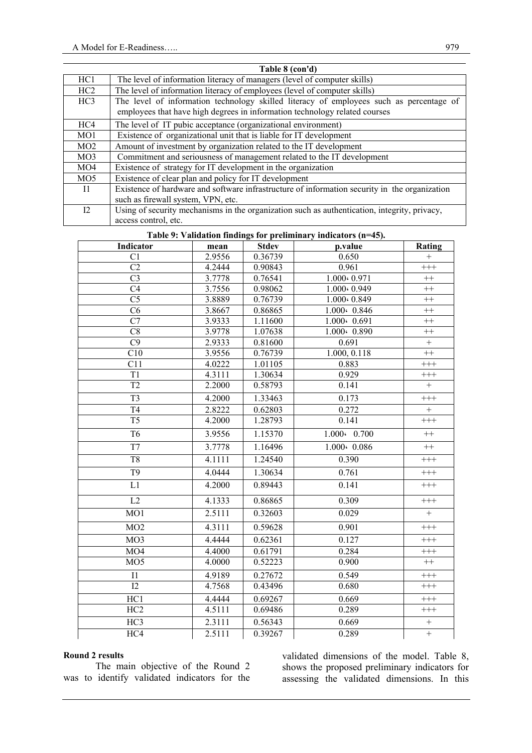|                 | Table 8 (con'd)                                                                               |
|-----------------|-----------------------------------------------------------------------------------------------|
| HC1             | The level of information literacy of managers (level of computer skills)                      |
| HC2             | The level of information literacy of employees (level of computer skills)                     |
| HC <sub>3</sub> | The level of information technology skilled literacy of employees such as percentage of       |
|                 | employees that have high degrees in information technology related courses                    |
| HC4             | The level of IT pubic acceptance (organizational environment)                                 |
| MO <sub>1</sub> | Existence of organizational unit that is liable for IT development                            |
| MO2             | Amount of investment by organization related to the IT development                            |
| MO <sub>3</sub> | Commitment and seriousness of management related to the IT development                        |
| MO4             | Existence of strategy for IT development in the organization                                  |
| MO <sub>5</sub> | Existence of clear plan and policy for IT development                                         |
| $\overline{11}$ | Existence of hardware and software infrastructure of information security in the organization |
|                 | such as firewall system, VPN, etc.                                                            |
| 12              | Using of security mechanisms in the organization such as authentication, integrity, privacy,  |
|                 | access control, etc.                                                                          |

|  | Table 9: Validation findings for preliminary indicators (n=45). |  |
|--|-----------------------------------------------------------------|--|
|  |                                                                 |  |

| Indicator        | mean   | <b>Stdev</b> | p.value             | Rating            |
|------------------|--------|--------------|---------------------|-------------------|
| C <sub>1</sub>   | 2.9556 | 0.36739      | 0.650               | $+$               |
| $\overline{C2}$  | 4.2444 | 0.90843      | 0.961               | $^{+++}$          |
| $\overline{C}$   | 3.7778 | 0.76541      | 1.000+0.971         | $++$              |
| C <sub>4</sub>   | 3.7556 | 0.98062      | $1.000 \cdot 0.949$ | $++$              |
| $\overline{C5}$  | 3.8889 | 0.76739      | $1.000 \cdot 0.849$ | $++$              |
| C6               | 3.8667 | 0.86865      | $1.000 \cdot 0.846$ | $++$              |
| C7               | 3.9333 | 1.11600      | $1.000 \cdot 0.691$ | $++$              |
| C8               | 3.9778 | 1.07638      | $1.000 \cdot 0.890$ | $^{++}$           |
| $\overline{C9}$  | 2.9333 | 0.81600      | 0.691               | $\qquad \qquad +$ |
| C10              | 3.9556 | 0.76739      | 1.000, 0.118        | $^{++}$           |
| C11              | 4.0222 | 1.01105      | 0.883               | $^{+++}$          |
| T1               | 4.3111 | 1.30634      | 0.929               | $^{+++}$          |
| T <sub>2</sub>   | 2.2000 | 0.58793      | 0.141               | $^{+}$            |
| T <sub>3</sub>   | 4.2000 | 1.33463      | 0.173               | $^{+++}$          |
| T <sub>4</sub>   | 2.8222 | 0.62803      | 0.272               |                   |
| $\overline{T5}$  | 4.2000 | 1.28793      | 0.141               | $^{+++}$          |
| T <sub>6</sub>   | 3.9556 | 1.15370      | $1.000 \cdot 0.700$ | $^{++}$           |
| T7               | 3.7778 | 1.16496      | $1.000 \cdot 0.086$ | $^{++}$           |
| T <sub>8</sub>   | 4.1111 | 1.24540      | 0.390               | $^{+++}$          |
| $\overline{T9}$  | 4.0444 | 1.30634      | 0.761               | $^{+++}$          |
| $\overline{L1}$  | 4.2000 | 0.89443      | 0.141               | $^{+++}$          |
| L2               | 4.1333 | 0.86865      | 0.309               | $^{+++}$          |
| MO1              | 2.5111 | 0.32603      | 0.029               | $^{+}$            |
| MO2              | 4.3111 | 0.59628      | 0.901               | $^{+++}$          |
| MO <sub>3</sub>  | 4.4444 | 0.62361      | 0.127               | $^{+++}$          |
| MO4              | 4.4000 | 0.61791      | 0.284               | $^{+++}$          |
| MO <sub>5</sub>  | 4.0000 | 0.52223      | 0.900               | $++$              |
| I1               | 4.9189 | 0.27672      | 0.549               | $^{+++}$          |
| $\overline{12}$  | 4.7568 | 0.43496      | 0.680               | $^{+++}$          |
| HC1              | 4.4444 | 0.69267      | 0.669               | $^{+++}$          |
| HC2              | 4.5111 | 0.69486      | 0.289               | $^{+++}$          |
| $\overline{HC3}$ | 2.3111 | 0.56343      | 0.669               | $\qquad \qquad +$ |
| HC4              | 2.5111 | 0.39267      | 0.289               | $\boldsymbol{+}$  |

#### **Round 2 results**

The main objective of the Round 2 was to identify validated indicators for the validated dimensions of the model. Table 8, shows the proposed preliminary indicators for assessing the validated dimensions. In this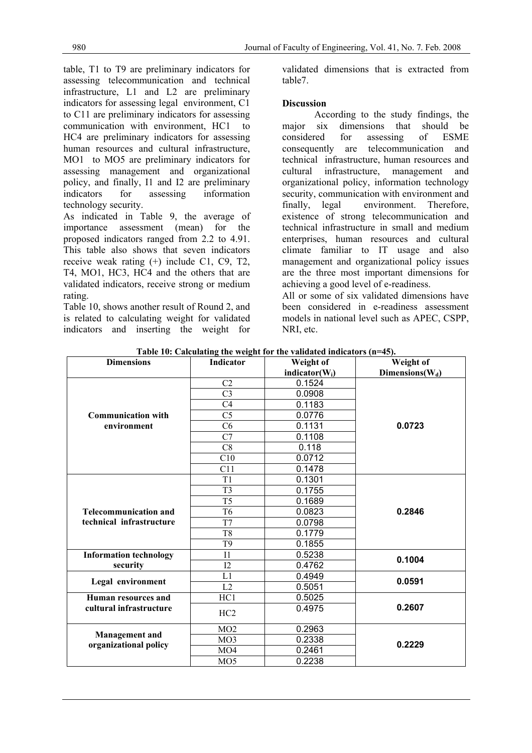table, T1 to T9 are preliminary indicators for assessing telecommunication and technical infrastructure, L1 and L2 are preliminary indicators for assessing legal environment, C1 to C11 are preliminary indicators for assessing communication with environment, HC1 to HC4 are preliminary indicators for assessing human resources and cultural infrastructure, MO1 to MO5 are preliminary indicators for assessing management and organizational policy, and finally, I1 and I2 are preliminary indicators for assessing information technology security.

As indicated in Table 9, the average of importance assessment (mean) for the proposed indicators ranged from 2.2 to 4.91. This table also shows that seven indicators receive weak rating (+) include C1, C9, T2, T4, MO1, HC3, HC4 and the others that are validated indicators, receive strong or medium rating.

Table 10, shows another result of Round 2, and is related to calculating weight for validated indicators and inserting the weight for validated dimensions that is extracted from table7.

## **Discussion**

According to the study findings, the major six dimensions that should be considered for assessing of ESME consequently are telecommunication and technical infrastructure, human resources and cultural infrastructure, management and organizational policy, information technology security, communication with environment and finally, legal environment. Therefore, existence of strong telecommunication and technical infrastructure in small and medium enterprises, human resources and cultural climate familiar to IT usage and also management and organizational policy issues are the three most important dimensions for achieving a good level of e-readiness.

All or some of six validated dimensions have been considered in e-readiness assessment models in national level such as APEC, CSPP, NRI, etc.

| <b>Dimensions</b>                        | Indicator       | Weight of          | Weight of           |  |
|------------------------------------------|-----------------|--------------------|---------------------|--|
|                                          |                 | indicator( $W_i$ ) | Dimensions( $W_d$ ) |  |
|                                          | C <sub>2</sub>  | 0.1524             | 0.0723              |  |
|                                          | C <sub>3</sub>  | 0.0908             |                     |  |
|                                          | C <sub>4</sub>  | 0.1183             |                     |  |
| <b>Communication with</b><br>environment | C <sub>5</sub>  | 0.0776             |                     |  |
|                                          | C6              | 0.1131             |                     |  |
|                                          | C7              | 0.1108             |                     |  |
|                                          | C8              | 0.118              |                     |  |
|                                          | C10             | 0.0712             |                     |  |
|                                          | C11             | 0.1478             |                     |  |
| <b>Telecommunication and</b>             | T <sub>1</sub>  | 0.1301             |                     |  |
|                                          | T <sub>3</sub>  | 0.1755             |                     |  |
|                                          | T <sub>5</sub>  | 0.1689             | 0.2846              |  |
|                                          | T <sub>6</sub>  | 0.0823             |                     |  |
| technical infrastructure                 | T7              | 0.0798             |                     |  |
|                                          | T <sub>8</sub>  | 0.1779             |                     |  |
|                                          | T <sub>9</sub>  | 0.1855             |                     |  |
| <b>Information technology</b>            | I1              | 0.5238             | 0.1004              |  |
| security                                 | 12              | 0.4762             |                     |  |
| Legal environment                        | L1              | 0.4949             | 0.0591              |  |
|                                          | L2              | 0.5051             |                     |  |
| <b>Human resources and</b>               | HC1             | 0.5025             |                     |  |
| cultural infrastructure                  | HC <sub>2</sub> | 0.4975             | 0.2607              |  |
|                                          | MO2             | 0.2963             |                     |  |
| <b>Management</b> and                    | MO <sub>3</sub> | 0.2338             | 0.2229              |  |
| organizational policy                    | MO <sub>4</sub> | 0.2461             |                     |  |
|                                          | MO <sub>5</sub> | 0.2238             |                     |  |

**Table 10: Calculating the weight for the validated indicators (n=45).**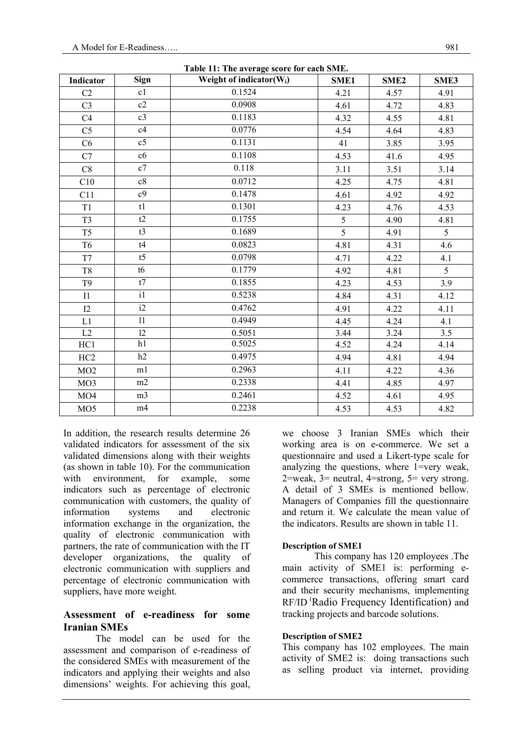| Table 11: The average score for each SME. |                 |                                      |      |                  |      |  |  |
|-------------------------------------------|-----------------|--------------------------------------|------|------------------|------|--|--|
| Indicator                                 | Sign            | Weight of indicator(W <sub>i</sub> ) | SME1 | SME <sub>2</sub> | SME3 |  |  |
| C <sub>2</sub>                            | c1              | 0.1524                               | 4.21 | 4.57             | 4.91 |  |  |
| C <sub>3</sub>                            | c2              | 0.0908                               | 4.61 | 4.72             | 4.83 |  |  |
| C4                                        | c3              | 0.1183                               | 4.32 | 4.55             | 4.81 |  |  |
| C <sub>5</sub>                            | c4              | 0.0776                               | 4.54 | 4.64             | 4.83 |  |  |
| C6                                        | $\overline{c5}$ | 0.1131                               | 41   | 3.85             | 3.95 |  |  |
| C7                                        | c6              | 0.1108                               | 4.53 | 41.6             | 4.95 |  |  |
| C8                                        | c7              | 0.118                                | 3.11 | 3.51             | 3.14 |  |  |
| C10                                       | c8              | 0.0712                               | 4.25 | 4.75             | 4.81 |  |  |
| C11                                       | c <sub>9</sub>  | 0.1478                               | 4.61 | 4.92             | 4.92 |  |  |
| T1                                        | t1              | 0.1301                               | 4.23 | 4.76             | 4.53 |  |  |
| T <sub>3</sub>                            | t2              | 0.1755                               | 5    | 4.90             | 4.81 |  |  |
| T <sub>5</sub>                            | $\overline{t3}$ | 0.1689                               | 5    | 4.91             | 5    |  |  |
| T <sub>6</sub>                            | t4              | 0.0823                               | 4.81 | 4.31             | 4.6  |  |  |
| T7                                        | t <sub>5</sub>  | 0.0798                               | 4.71 | 4.22             | 4.1  |  |  |
| T <sub>8</sub>                            | t6              | 0.1779                               | 4.92 | 4.81             | 5    |  |  |
| T <sub>9</sub>                            | t7              | 0.1855                               | 4.23 | 4.53             | 3.9  |  |  |
| I1                                        | $\overline{11}$ | 0.5238                               | 4.84 | 4.31             | 4.12 |  |  |
| 12                                        | i2              | 0.4762                               | 4.91 | 4.22             | 4.11 |  |  |
| L1                                        | $\overline{11}$ | 0.4949                               | 4.45 | 4.24             | 4.1  |  |  |
| L2                                        | 12              | 0.5051                               | 3.44 | 3.24             | 3.5  |  |  |
| HC1                                       | h1              | 0.5025                               | 4.52 | 4.24             | 4.14 |  |  |
| HC <sub>2</sub>                           | h2              | 0.4975                               | 4.94 | 4.81             | 4.94 |  |  |
| MO2                                       | m1              | 0.2963                               | 4.11 | 4.22             | 4.36 |  |  |
| MO <sub>3</sub>                           | m2              | 0.2338                               | 4.41 | 4.85             | 4.97 |  |  |
| MO4                                       | m <sub>3</sub>  | 0.2461                               | 4.52 | 4.61             | 4.95 |  |  |
| MO <sub>5</sub>                           | m4              | 0.2238                               | 4.53 | 4.53             | 4.82 |  |  |

In addition, the research results determine 26 validated indicators for assessment of the six validated dimensions along with their weights (as shown in table 10). For the communication with environment, for example, some indicators such as percentage of electronic communication with customers, the quality of information systems and electronic information exchange in the organization, the quality of electronic communication with partners, the rate of communication with the IT developer organizations, the quality of electronic communication with suppliers and percentage of electronic communication with suppliers, have more weight.

# **Assessment of e-readiness for some Iranian SMEs**

The model can be used for the assessment and comparison of e-readiness of the considered SMEs with measurement of the indicators and applying their weights and also dimensions' weights. For achieving this goal, we choose 3 Iranian SMEs which their working area is on e-commerce. We set a questionnaire and used a Likert-type scale for analyzing the questions, where 1=very weak, 2=weak, 3= neutral, 4=strong, 5= very strong. A detail of 3 SMEs is mentioned bellow. Managers of Companies fill the questionnaire and return it. We calculate the mean value of the indicators. Results are shown in table 11.

## **Description of SME1**

This company has 120 employees .The main activity of SME1 is: performing ecommerce transactions, offering smart card and their security mechanisms, implementing RF/ID (Radio Frequency Identification) and tracking projects and barcode solutions.

## **Description of SME2**

This company has 102 employees. The main activity of SME2 is: doing transactions such as selling product via internet, providing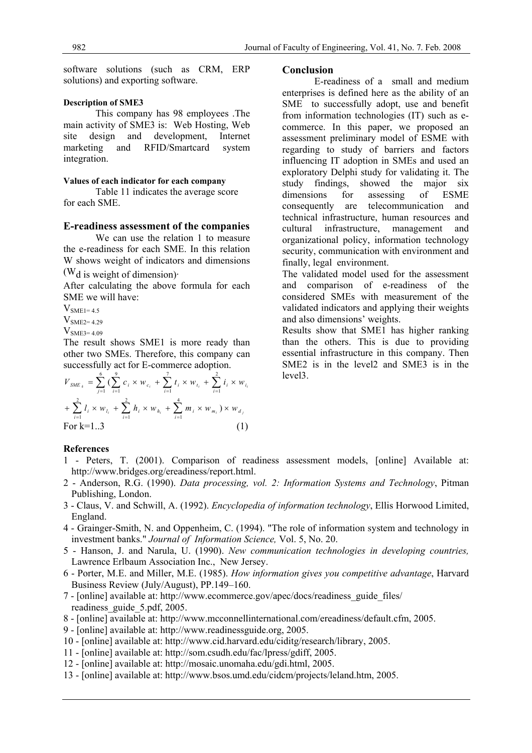software solutions (such as CRM, ERP solutions) and exporting software.

## **Description of SME3**

This company has 98 employees .The main activity of SME3 is: Web Hosting, Web site design and development, Internet marketing and RFID/Smartcard system integration.

#### **Values of each indicator for each company**

Table 11 indicates the average score for each SME.

#### **E-readiness assessment of the companies**

We can use the relation 1 to measure the e-readiness for each SME. In this relation W shows weight of indicators and dimensions

 $(W<sub>d</sub>$  is weight of dimension).

After calculating the above formula for each SME we will have:

 $V<sub>SME1=4.5</sub>$ 

 $V<sub>SME2=4.29</sub>$ 

 $V<sub>SME3=4.09</sub>$ 

The result shows SME1 is more ready than other two SMEs. Therefore, this company can successfully act for E-commerce adoption.

$$
V_{SME_{k}} = \sum_{j=1}^{6} \left( \sum_{i=1}^{9} c_{i} \times w_{c_{i}} + \sum_{i=1}^{7} t_{i} \times w_{t_{i}} + \sum_{i=1}^{2} i_{i} \times w_{i_{i}} \right)
$$
  
+ 
$$
\sum_{i=1}^{2} l_{i} \times w_{t_{i}} + \sum_{i=1}^{2} h_{i} \times w_{h_{i}} + \sum_{i=1}^{4} m_{i} \times w_{m_{i}} \right) \times w_{d_{j}}
$$
  
For k=1..3 (1)

#### **Conclusion**

E-readiness of a small and medium enterprises is defined here as the ability of an SME to successfully adopt, use and benefit from information technologies (IT) such as ecommerce. In this paper, we proposed an assessment preliminary model of ESME with regarding to study of barriers and factors influencing IT adoption in SMEs and used an exploratory Delphi study for validating it. The study findings, showed the major six dimensions for assessing of ESME consequently are telecommunication and technical infrastructure, human resources and cultural infrastructure, management and organizational policy, information technology security, communication with environment and finally, legal environment.

The validated model used for the assessment and comparison of e-readiness of the considered SMEs with measurement of the validated indicators and applying their weights and also dimensions' weights.

Results show that SME1 has higher ranking than the others. This is due to providing essential infrastructure in this company. Then SME2 is in the level2 and SME3 is in the level3.

#### **References**

- 1 Peters, T. (2001). Comparison of readiness assessment models, [online] Available at: http://www.bridges.org/ereadiness/report.html.
- 2 Anderson, R.G. (1990). *Data processing, vol. 2: Information Systems and Technology*, Pitman Publishing, London.
- 3 Claus, V. and Schwill, A. (1992). *Encyclopedia of information technology*, Ellis Horwood Limited, England.
- 4 Grainger-Smith, N. and Oppenheim, C. (1994). "The role of information system and technology in investment banks." *Journal of Information Science,* Vol. 5, No. 20.
- 5 Hanson, J. and Narula, U. (1990). *New communication technologies in developing countries,*  Lawrence Erlbaum Association Inc., New Jersey.
- 6 Porter, M.E. and Miller, M.E. (1985). *How information gives you competitive advantage*, Harvard Business Review (July/August), PP.149–160.
- 7 [online] available at: http://www.ecommerce.gov/apec/docs/readiness\_guide\_files/ readiness\_guide\_5.pdf, 2005.
- 8 [online] available at: http://www.mcconnellinternational.com/ereadiness/default.cfm, 2005.
- 9 [online] available at: http://www.readinessguide.org, 2005.
- 10 [online] available at: http://www.cid.harvard.edu/ciditg/research/library, 2005.
- 11 [online] available at: http://som.csudh.edu/fac/lpress/gdiff, 2005.
- 12 [online] available at: http://mosaic.unomaha.edu/gdi.html, 2005.
- 13 [online] available at: http://www.bsos.umd.edu/cidcm/projects/leland.htm, 2005.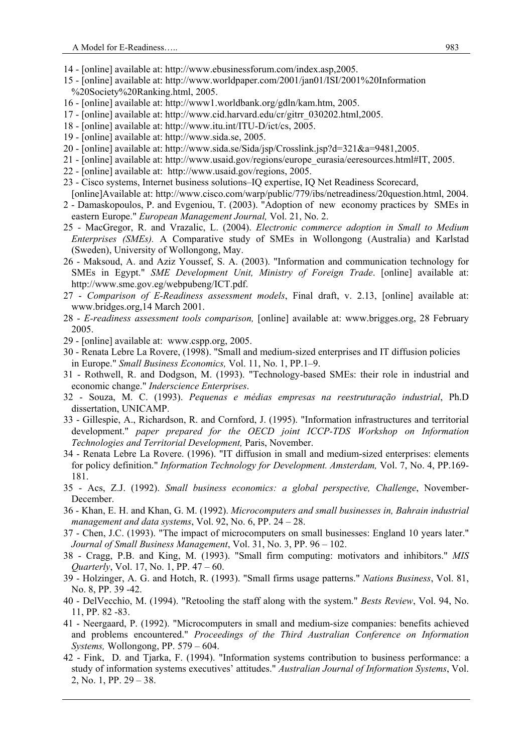- 14 [online] available at: http://www.ebusinessforum.com/index.asp,2005.
- 15 [online] available at: http://www.worldpaper.com/2001/jan01/ISI/2001%20Information %20Society%20Ranking.html, 2005.
- 16 [online] available at: http://www1.worldbank.org/gdln/kam.htm, 2005.
- 17 [online] available at: http://www.cid.harvard.edu/cr/gitrr\_030202.html,2005.
- 18 [online] available at: http://www.itu.int/ITU-D/ict/cs, 2005.
- 19 [online] available at: http://www.sida.se, 2005.
- 20 [online] available at: http://www.sida.se/Sida/jsp/Crosslink.jsp?d=321&a=9481,2005.
- 21 [online] available at: http://www.usaid.gov/regions/europe\_eurasia/eeresources.html#IT, 2005.
- 22 [online] available at: http://www.usaid.gov/regions, 2005.
- 23 Cisco systems, Internet business solutions–IQ expertise, IQ Net Readiness Scorecard,
- [online]Available at: http://www.cisco.com/warp/public/779/ibs/netreadiness/20question.html, 2004. 2 - Damaskopoulos, P. and Evgeniou, T. (2003). "Adoption of new economy practices by SMEs in eastern Europe." *European Management Journal,* Vol. 21, No. 2.
- 25 MacGregor, R. and Vrazalic, L. (2004). *Electronic commerce adoption in Small to Medium Enterprises (SMEs).* A Comparative study of SMEs in Wollongong (Australia) and Karlstad (Sweden), University of Wollongong, May.
- 26 Maksoud, A. and Aziz Youssef, S. A. (2003). "Information and communication technology for SMEs in Egypt." *SME Development Unit, Ministry of Foreign Trade*. [online] available at: http://www.sme.gov.eg/webpubeng/ICT.pdf.
- 27 *Comparison of E-Readiness assessment models*, Final draft, v. 2.13, [online] available at: www.bridges.org,14 March 2001.
- 28 *E-readiness assessment tools comparison,* [online] available at: www.brigges.org, 28 February 2005.
- 29 [online] available at: www.cspp.org, 2005.
- 30 Renata Lebre La Rovere, (1998). "Small and medium-sized enterprises and IT diffusion policies in Europe." *Small Business Economics,* Vol. 11, No. 1, PP.1–9.
- 31 Rothwell, R. and Dodgson, M. (1993). "Technology-based SMEs: their role in industrial and economic change." *Inderscience Enterprises*.
- 32 Souza, M. C. (1993). *Pequenas e médias empresas na reestruturação industrial*, Ph.D dissertation, UNICAMP.
- 33 Gillespie, A., Richardson, R. and Cornford, J. (1995). "Information infrastructures and territorial development." *paper prepared for the OECD joint ICCP-TDS Workshop on Information Technologies and Territorial Development,* Paris, November.
- 34 Renata Lebre La Rovere. (1996). "IT diffusion in small and medium-sized enterprises: elements for policy definition." *Information Technology for Development. Amsterdam,* Vol. 7, No. 4, PP.169- 181.
- 35 Acs, Z.J. (1992). *Small business economics: a global perspective, Challenge*, November-December.
- 36 Khan, E. H. and Khan, G. M. (1992). *Microcomputers and small businesses in, Bahrain industrial management and data systems*, Vol. 92, No. 6, PP. 24 – 28.
- 37 Chen, J.C. (1993). "The impact of microcomputers on small businesses: England 10 years later." *Journal of Small Business Management*, Vol. 31, No. 3, PP. 96 – 102.
- 38 Cragg, P.B. and King, M. (1993). "Small firm computing: motivators and inhibitors." *MIS Quarterly*, Vol. 17, No. 1, PP. 47 – 60.
- 39 Holzinger, A. G. and Hotch, R. (1993). "Small firms usage patterns." *Nations Business*, Vol. 81, No. 8, PP. 39 -42.
- 40 DelVecchio, M. (1994). "Retooling the staff along with the system." *Bests Review*, Vol. 94, No. 11, PP. 82 -83.
- 41 Neergaard, P. (1992). "Microcomputers in small and medium-size companies: benefits achieved and problems encountered." *Proceedings of the Third Australian Conference on Information Systems,* Wollongong, PP. 579 – 604.
- 42 Fink, D. and Tjarka, F. (1994). "Information systems contribution to business performance: a study of information systems executives' attitudes." *Australian Journal of Information Systems*, Vol. 2, No. 1, PP. 29 – 38.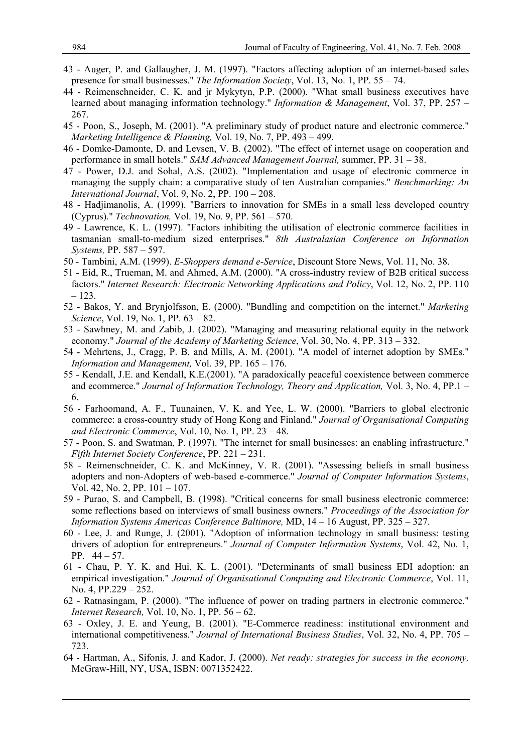- 43 Auger, P. and Gallaugher, J. M. (1997). "Factors affecting adoption of an internet-based sales presence for small businesses." *The Information Society*, Vol. 13, No. 1, PP. 55 – 74.
- 44 Reimenschneider, C. K. and jr Mykytyn, P.P. (2000). "What small business executives have learned about managing information technology." *Information & Management*, Vol. 37, PP. 257 – 267.
- 45 Poon, S., Joseph, M. (2001). "A preliminary study of product nature and electronic commerce." *Marketing Intelligence & Planning,* Vol. 19, No. 7, PP. 493 – 499.
- 46 Domke-Damonte, D. and Levsen, V. B. (2002). "The effect of internet usage on cooperation and performance in small hotels." *SAM Advanced Management Journal,* summer, PP. 31 – 38.
- 47 Power, D.J. and Sohal, A.S. (2002). "Implementation and usage of electronic commerce in managing the supply chain: a comparative study of ten Australian companies." *Benchmarking: An International Journal*, Vol. 9, No. 2, PP. 190 – 208.
- 48 Hadjimanolis, A. (1999). "Barriers to innovation for SMEs in a small less developed country (Cyprus)." *Technovation,* Vol. 19, No. 9, PP. 561 – 570.
- 49 Lawrence, K. L. (1997). "Factors inhibiting the utilisation of electronic commerce facilities in tasmanian small-to-medium sized enterprises." *8th Australasian Conference on Information Systems,* PP. 587 – 597.
- 50 Tambini, A.M. (1999). *E-Shoppers demand e-Service*, Discount Store News, Vol. 11, No. 38.
- 51 Eid, R., Trueman, M. and Ahmed, A.M. (2000). "A cross-industry review of B2B critical success factors." *Internet Research: Electronic Networking Applications and Policy*, Vol. 12, No. 2, PP. 110 – 123.
- 52 Bakos, Y. and Brynjolfsson, E. (2000). "Bundling and competition on the internet." *Marketing Science*, Vol. 19, No. 1, PP. 63 – 82.
- 53 Sawhney, M. and Zabib, J. (2002). "Managing and measuring relational equity in the network economy." *Journal of the Academy of Marketing Science*, Vol. 30, No. 4, PP. 313 – 332.
- 54 Mehrtens, J., Cragg, P. B. and Mills, A. M. (2001). "A model of internet adoption by SMEs." *Information and Management,* Vol. 39, PP. 165 – 176.
- 55 Kendall, J.E. and Kendall, K.E.(2001). "A paradoxically peaceful coexistence between commerce and ecommerce." *Journal of Information Technology, Theory and Application,* Vol. 3, No. 4, PP.1 – 6.
- 56 Farhoomand, A. F., Tuunainen, V. K. and Yee, L. W. (2000). "Barriers to global electronic commerce: a cross-country study of Hong Kong and Finland." *Journal of Organisational Computing and Electronic Commerce*, Vol. 10, No. 1, PP. 23 – 48.
- 57 Poon, S. and Swatman, P. (1997). "The internet for small businesses: an enabling infrastructure." *Fifth Internet Society Conference*, PP. 221 – 231.
- 58 Reimenschneider, C. K. and McKinney, V. R. (2001). "Assessing beliefs in small business adopters and non-Adopters of web-based e-commerce." *Journal of Computer Information Systems*, Vol. 42, No. 2, PP. 101 – 107.
- 59 Purao, S. and Campbell, B. (1998). "Critical concerns for small business electronic commerce: some reflections based on interviews of small business owners." *Proceedings of the Association for Information Systems Americas Conference Baltimore,* MD, 14 – 16 August, PP. 325 – 327.
- 60 Lee, J. and Runge, J. (2001). "Adoption of information technology in small business: testing drivers of adoption for entrepreneurs." *Journal of Computer Information Systems*, Vol. 42, No. 1, PP. 44 – 57.
- 61 Chau, P. Y. K. and Hui, K. L. (2001). "Determinants of small business EDI adoption: an empirical investigation." *Journal of Organisational Computing and Electronic Commerce*, Vol. 11, No. 4, PP.229 – 252.
- 62 Ratnasingam, P. (2000). "The influence of power on trading partners in electronic commerce." *Internet Research,* Vol. 10, No. 1, PP. 56 – 62.
- 63 Oxley, J. E. and Yeung, B. (2001). "E-Commerce readiness: institutional environment and international competitiveness." *Journal of International Business Studies*, Vol. 32, No. 4, PP. 705 – 723.
- 64 Hartman, A., Sifonis, J. and Kador, J. (2000). *Net ready: strategies for success in the economy,*  McGraw-Hill, NY, USA, ISBN: 0071352422.